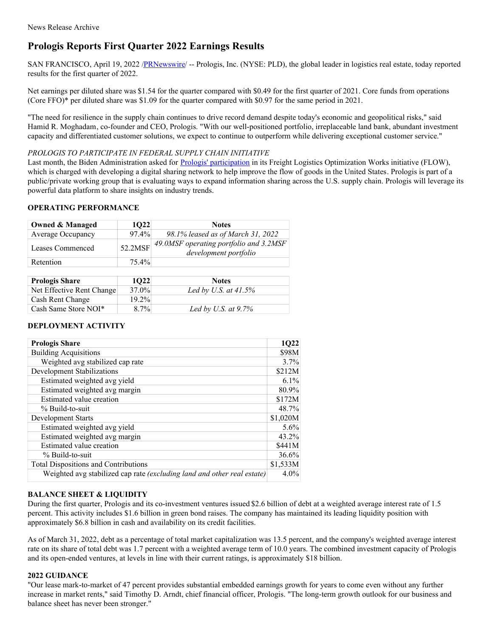# **Prologis Reports First Quarter 2022 Earnings Results**

SAN FRANCISCO, April 19, 2022 [/PRNewswire](http://www.prnewswire.com/)/ -- Prologis, Inc. (NYSE: PLD), the global leader in logistics real estate, today reported results for the first quarter of 2022.

Net earnings per diluted share was \$1.54 for the quarter compared with \$0.49 for the first quarter of 2021. Core funds from operations (Core FFO)\* per diluted share was \$1.09 for the quarter compared with \$0.97 for the same period in 2021.

"The need for resilience in the supply chain continues to drive record demand despite today's economic and geopolitical risks," said Hamid R. Moghadam, co-founder and CEO, Prologis. "With our well-positioned portfolio, irreplaceable land bank, abundant investment capacity and differentiated customer solutions, we expect to continue to outperform while delivering exceptional customer service."

#### *PROLOGIS TO PARTICIPATE IN FEDERAL SUPPLY CHAIN INITIATIVE*

Last month, the Biden Administration asked for **Prologis' [participation](https://c212.net/c/link/?t=0&l=en&o=3508176-1&h=1606291808&u=https%3A%2F%2Fwww.prologis.com%2Fnews-research%2Farticles%2Fprologis-joins-federal-partnership-supply-chain-data-infrastructure&a=Prologis%27+participation)** in its Freight Logistics Optimization Works initiative (FLOW), which is charged with developing a digital sharing network to help improve the flow of goods in the United States. Prologis is part of a public/private working group that is evaluating ways to expand information sharing across the U.S. supply chain. Prologis will leverage its powerful data platform to share insights on industry trends.

## **OPERATING PERFORMANCE**

| <b>Owned &amp; Managed</b> | 1022     | <b>Notes</b>                                                    |
|----------------------------|----------|-----------------------------------------------------------------|
| Average Occupancy          | 97.4%    | 98.1% leased as of March 31, 2022                               |
| Leases Commenced           | 52.2MSF  | 49.0MSF operating portfolio and 3.2MSF<br>development portfolio |
| Retention                  | $75.4\%$ |                                                                 |

| <b>Prologis Share</b>            | 1022     | <b>Notes</b>           |
|----------------------------------|----------|------------------------|
| Net Effective Rent Change        | $37.0\%$ | Led by U.S. at $41.5%$ |
| Cash Rent Change                 | $19.2\%$ |                        |
| Cash Same Store NOI <sup>*</sup> | $8.7\%$  | Led by U.S. at $9.7\%$ |

# **DEPLOYMENT ACTIVITY**

| <b>Prologis Share</b>                                                   | 1Q22     |
|-------------------------------------------------------------------------|----------|
| <b>Building Acquisitions</b>                                            | \$98M    |
| Weighted avg stabilized cap rate                                        | 3.7%     |
| <b>Development Stabilizations</b>                                       | \$212M   |
| Estimated weighted avg yield                                            | 6.1%     |
| Estimated weighted avg margin                                           | 80.9%    |
| Estimated value creation                                                | \$172M   |
| % Build-to-suit                                                         | 48.7%    |
| Development Starts                                                      | \$1,020M |
| Estimated weighted avg yield                                            | 5.6%     |
| Estimated weighted avg margin                                           | 43.2%    |
| Estimated value creation                                                | \$441M   |
| % Build-to-suit                                                         | 36.6%    |
| <b>Total Dispositions and Contributions</b>                             | \$1,533M |
| Weighted avg stabilized cap rate (excluding land and other real estate) | 4.0%     |

## **BALANCE SHEET & LIQUIDITY**

During the first quarter, Prologis and its co-investment ventures issued \$2.6 billion of debt at a weighted average interest rate of 1.5 percent. This activity includes \$1.6 billion in green bond raises. The company has maintained its leading liquidity position with approximately \$6.8 billion in cash and availability on its credit facilities.

As of March 31, 2022, debt as a percentage of total market capitalization was 13.5 percent, and the company's weighted average interest rate on its share of total debt was 1.7 percent with a weighted average term of 10.0 years. The combined investment capacity of Prologis and its open-ended ventures, at levels in line with their current ratings, is approximately \$18 billion.

## **2022 GUIDANCE**

"Our lease mark-to-market of 47 percent provides substantial embedded earnings growth for years to come even without any further increase in market rents," said Timothy D. Arndt, chief financial officer, Prologis. "The long-term growth outlook for our business and balance sheet has never been stronger."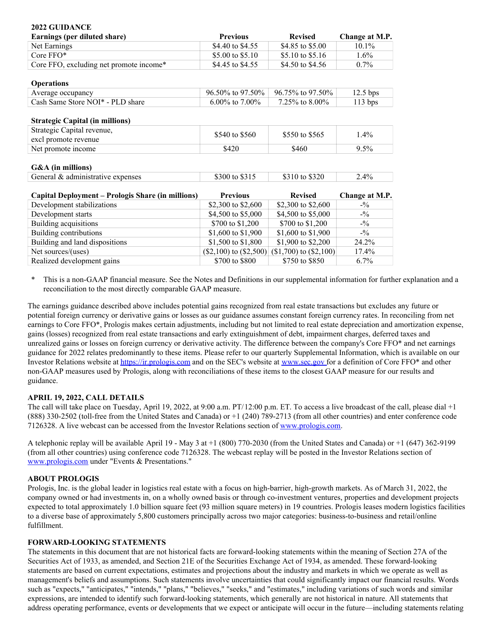# **2022 GUIDANCE**

| Earnings (per diluted share)            | <b>Previous</b>  | <b>Revised</b>   | Change at M.P. |
|-----------------------------------------|------------------|------------------|----------------|
| Net Earnings                            | \$4.40 to \$4.55 | \$4.85 to \$5.00 | $10.1\%$       |
| Core $FFO^*$                            | \$5.00 to \$5.10 | \$5.10 to \$5.16 | $1.6\%$        |
| Core FFO, excluding net promote income* | \$4.45 to \$4.55 | \$4.50 to \$4.56 | $0.7\%$        |

#### **Operations**

| Average occupancy                            | $\frac{1}{2}$ 50% to 97.50%<br>96.5 | $.50\%$<br>96.75% to 97 | bps                |
|----------------------------------------------|-------------------------------------|-------------------------|--------------------|
| Cash Same Store NOI <sup>*</sup> - PLD share | $.00\%$<br>$0.00\%$ to $7$          | 7.25\% to 8.00\%        | $\frac{13}{2}$ bps |

#### **Strategic Capital (in millions)**

| Strategic Capital revenue,<br>excl promote revenue | \$540 to \$560 | \$550 to \$565 | $1.4\%$ |
|----------------------------------------------------|----------------|----------------|---------|
| Net promote income                                 | \$420          | \$460          | $9.5\%$ |

#### **G&A (in millions)**

| General<br>administrative expenses<br>X. | ر 0<br>0.721 | $.4\%$<br>-- |
|------------------------------------------|--------------|--------------|
|                                          |              |              |

| Capital Deployment – Prologis Share (in millions) | <b>Previous</b>          | <b>Revised</b>           | Change at M.P. |
|---------------------------------------------------|--------------------------|--------------------------|----------------|
| Development stabilizations                        | \$2,300 to \$2,600       | \$2,300 to \$2,600       | $-1/2$         |
| Development starts                                | \$4,500 to \$5,000       | \$4,500 to \$5,000       | $-9/0$         |
| Building acquisitions                             | \$700 to \$1,200         | \$700 to \$1,200         | $-9/0$         |
| Building contributions                            | \$1,600 to \$1,900       | \$1,600 to \$1,900       | $-9/6$         |
| Building and land dispositions                    | \$1,500 to \$1,800       | \$1,900 to \$2,200       | 24.2%          |
| Net sources/(uses)                                | $($2,100)$ to $($2,500)$ | $($1,700)$ to $($2,100)$ | 17.4%          |
| Realized development gains                        | \$700 to \$800           | \$750 to \$850           | $6.7\%$        |

This is a non-GAAP financial measure. See the Notes and Definitions in our supplemental information for further explanation and a reconciliation to the most directly comparable GAAP measure.

The earnings guidance described above includes potential gains recognized from real estate transactions but excludes any future or potential foreign currency or derivative gains or losses as our guidance assumes constant foreign currency rates. In reconciling from net earnings to Core FFO\*, Prologis makes certain adjustments, including but not limited to real estate depreciation and amortization expense, gains (losses) recognized from real estate transactions and early extinguishment of debt, impairment charges, deferred taxes and unrealized gains or losses on foreign currency or derivative activity. The difference between the company's Core FFO\* and net earnings guidance for 2022 relates predominantly to these items. Please refer to our quarterly Supplemental Information, which is available on our Investor Relations website at [https://ir.prologis.com](https://c212.net/c/link/?t=0&l=en&o=3508176-1&h=2924207363&u=https%3A%2F%2Fir.prologis.com%2Finvestor-overview%2Fdefault.aspx&a=https%3A%2F%2Fir.prologis.com) and on the SEC's website at [www.sec.gov](https://c212.net/c/link/?t=0&l=en&o=3508176-1&h=3335574531&u=http%3A%2F%2Fwww.sec.gov%2F&a=www.sec.gov+) for a definition of Core FFO\* and other non-GAAP measures used by Prologis, along with reconciliations of these items to the closest GAAP measure for our results and guidance.

## **APRIL 19, 2022, CALL DETAILS**

The call will take place on Tuesday, April 19, 2022, at 9:00 a.m. PT/12:00 p.m. ET. To access a live broadcast of the call, please dial +1 (888) 330-2502 (toll-free from the United States and Canada) or +1 (240) 789-2713 (from all other countries) and enter conference code 7126328. A live webcast can be accessed from the Investor Relations section of [www.prologis.com](https://c212.net/c/link/?t=0&l=en&o=3508176-1&h=3576968143&u=http%3A%2F%2Fwww.prologis.com&a=www.prologis.com).

A telephonic replay will be available April 19 - May 3 at +1 (800) 770-2030 (from the United States and Canada) or +1 (647) 362-9199 (from all other countries) using conference code 7126328. The webcast replay will be posted in the Investor Relations section of [www.prologis.com](https://c212.net/c/link/?t=0&l=en&o=3508176-1&h=1792676701&u=https%3A%2F%2Fwww.prologis.com&a=www.prologis.com) under "Events & Presentations."

## **ABOUT PROLOGIS**

Prologis, Inc. is the global leader in logistics real estate with a focus on high-barrier, high-growth markets. As of March 31, 2022, the company owned or had investments in, on a wholly owned basis or through co-investment ventures, properties and development projects expected to total approximately 1.0 billion square feet (93 million square meters) in 19 countries. Prologis leases modern logistics facilities to a diverse base of approximately 5,800 customers principally across two major categories: business-to-business and retail/online fulfillment.

## **FORWARD-LOOKING STATEMENTS**

The statements in this document that are not historical facts are forward-looking statements within the meaning of Section 27A of the Securities Act of 1933, as amended, and Section 21E of the Securities Exchange Act of 1934, as amended. These forward-looking statements are based on current expectations, estimates and projections about the industry and markets in which we operate as well as management's beliefs and assumptions. Such statements involve uncertainties that could significantly impact our financial results. Words such as "expects," "anticipates," "intends," "plans," "believes," "seeks," and "estimates," including variations of such words and similar expressions, are intended to identify such forward-looking statements, which generally are not historical in nature. All statements that address operating performance, events or developments that we expect or anticipate will occur in the future—including statements relating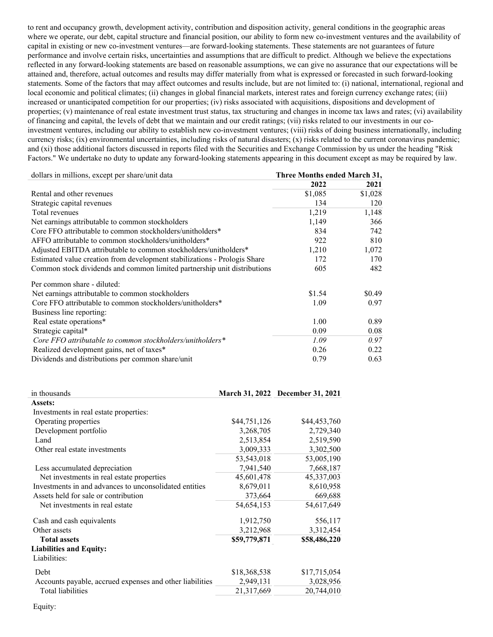to rent and occupancy growth, development activity, contribution and disposition activity, general conditions in the geographic areas where we operate, our debt, capital structure and financial position, our ability to form new co-investment ventures and the availability of capital in existing or new co-investment ventures—are forward-looking statements. These statements are not guarantees of future performance and involve certain risks, uncertainties and assumptions that are difficult to predict. Although we believe the expectations reflected in any forward-looking statements are based on reasonable assumptions, we can give no assurance that our expectations will be attained and, therefore, actual outcomes and results may differ materially from what is expressed or forecasted in such forward-looking statements. Some of the factors that may affect outcomes and results include, but are not limited to: (i) national, international, regional and local economic and political climates; (ii) changes in global financial markets, interest rates and foreign currency exchange rates; (iii) increased or unanticipated competition for our properties; (iv) risks associated with acquisitions, dispositions and development of properties; (v) maintenance of real estate investment trust status, tax structuring and changes in income tax laws and rates; (vi) availability of financing and capital, the levels of debt that we maintain and our credit ratings; (vii) risks related to our investments in our coinvestment ventures, including our ability to establish new co-investment ventures; (viii) risks of doing business internationally, including currency risks; (ix) environmental uncertainties, including risks of natural disasters; (x) risks related to the current coronavirus pandemic; and (xi) those additional factors discussed in reports filed with the Securities and Exchange Commission by us under the heading "Risk Factors." We undertake no duty to update any forward-looking statements appearing in this document except as may be required by law.

| dollars in millions, except per share/unit data                           | Three Months ended March 31, |         |
|---------------------------------------------------------------------------|------------------------------|---------|
|                                                                           | 2022                         | 2021    |
| Rental and other revenues                                                 | \$1,085                      | \$1,028 |
| Strategic capital revenues                                                | 134                          | 120     |
| Total revenues                                                            | 1,219                        | 1,148   |
| Net earnings attributable to common stockholders                          | 1,149                        | 366     |
| Core FFO attributable to common stockholders/unitholders*                 | 834                          | 742     |
| AFFO attributable to common stockholders/unitholders*                     | 922                          | 810     |
| Adjusted EBITDA attributable to common stockholders/unitholders*          | 1,210                        | 1,072   |
| Estimated value creation from development stabilizations - Prologis Share | 172                          | 170     |
| Common stock dividends and common limited partnership unit distributions  | 605                          | 482     |
| Per common share - diluted:                                               |                              |         |
| Net earnings attributable to common stockholders                          | \$1.54                       | \$0.49  |
| Core FFO attributable to common stockholders/unitholders*                 | 1.09                         | 0.97    |
| Business line reporting:                                                  |                              |         |
| Real estate operations*                                                   | 1.00                         | 0.89    |
| Strategic capital*                                                        | 0.09                         | 0.08    |
| Core FFO attributable to common stockholders/unitholders*                 | 1.09                         | 0.97    |
| Realized development gains, net of taxes*                                 | 0.26                         | 0.22    |
| Dividends and distributions per common share/unit                         | 0.79                         | 0.63    |

| in thousands                                             |              | March 31, 2022 December 31, 2021 |
|----------------------------------------------------------|--------------|----------------------------------|
| Assets:                                                  |              |                                  |
| Investments in real estate properties:                   |              |                                  |
| Operating properties                                     | \$44,751,126 | \$44,453,760                     |
| Development portfolio                                    | 3,268,705    | 2,729,340                        |
| Land                                                     | 2,513,854    | 2,519,590                        |
| Other real estate investments                            | 3,009,333    | 3,302,500                        |
|                                                          | 53,543,018   | 53,005,190                       |
| Less accumulated depreciation                            | 7,941,540    | 7,668,187                        |
| Net investments in real estate properties                | 45,601,478   | 45,337,003                       |
| Investments in and advances to unconsolidated entities   | 8,679,011    | 8,610,958                        |
| Assets held for sale or contribution                     | 373,664      | 669,688                          |
| Net investments in real estate.                          | 54,654,153   | 54,617,649                       |
| Cash and cash equivalents                                | 1,912,750    | 556,117                          |
| Other assets                                             | 3,212,968    | 3,312,454                        |
| <b>Total assets</b>                                      | \$59,779,871 | \$58,486,220                     |
| <b>Liabilities and Equity:</b>                           |              |                                  |
| Liabilities:                                             |              |                                  |
| Debt                                                     | \$18,368,538 | \$17,715,054                     |
| Accounts payable, accrued expenses and other liabilities | 2,949,131    | 3,028,956                        |
| <b>Total liabilities</b>                                 | 21,317,669   | 20,744,010                       |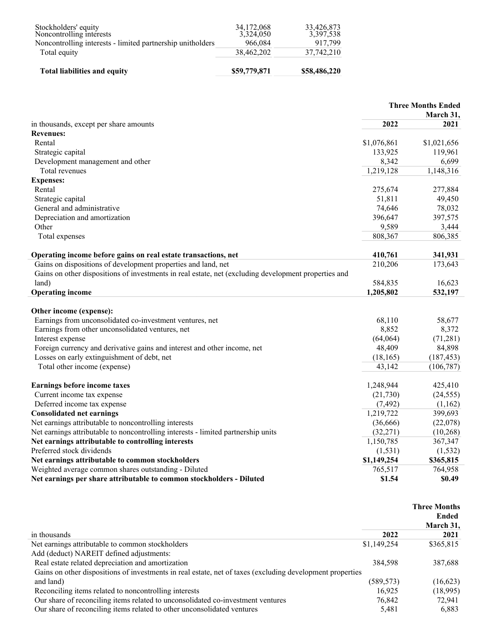| \$59,779,871            | \$58,486,220            |
|-------------------------|-------------------------|
| 38,462,202              | 37,742,210              |
| 966,084                 | 917,799                 |
| 34,172,068<br>3,324,050 | 33,426,873<br>3,397,538 |
|                         |                         |

|                                                                                                      |             | <b>Three Months Ended</b><br>March 31, |
|------------------------------------------------------------------------------------------------------|-------------|----------------------------------------|
| in thousands, except per share amounts                                                               | 2022        | 2021                                   |
| <b>Revenues:</b>                                                                                     |             |                                        |
| Rental                                                                                               | \$1,076,861 | \$1,021,656                            |
| Strategic capital                                                                                    | 133,925     | 119,961                                |
| Development management and other                                                                     | 8,342       | 6,699                                  |
| Total revenues                                                                                       | 1,219,128   | 1,148,316                              |
| <b>Expenses:</b>                                                                                     |             |                                        |
| Rental                                                                                               | 275,674     | 277,884                                |
| Strategic capital                                                                                    | 51,811      | 49,450                                 |
| General and administrative                                                                           | 74,646      | 78,032                                 |
| Depreciation and amortization                                                                        | 396,647     | 397,575                                |
| Other                                                                                                | 9,589       | 3,444                                  |
|                                                                                                      | 808,367     |                                        |
| Total expenses                                                                                       |             | 806,385                                |
| Operating income before gains on real estate transactions, net                                       | 410,761     | 341,931                                |
| Gains on dispositions of development properties and land, net                                        | 210,206     | 173,643                                |
| Gains on other dispositions of investments in real estate, net (excluding development properties and |             |                                        |
| land)                                                                                                | 584,835     | 16,623                                 |
| <b>Operating income</b>                                                                              | 1,205,802   | 532,197                                |
|                                                                                                      |             |                                        |
| Other income (expense):                                                                              |             |                                        |
| Earnings from unconsolidated co-investment ventures, net                                             | 68,110      | 58,677                                 |
| Earnings from other unconsolidated ventures, net                                                     | 8,852       | 8,372                                  |
| Interest expense                                                                                     | (64, 064)   | (71, 281)                              |
| Foreign currency and derivative gains and interest and other income, net                             | 48,409      | 84,898                                 |
| Losses on early extinguishment of debt, net                                                          | (18, 165)   | (187, 453)                             |
| Total other income (expense)                                                                         | 43,142      | (106, 787)                             |
|                                                                                                      |             |                                        |
| Earnings before income taxes                                                                         | 1,248,944   | 425,410                                |
| Current income tax expense                                                                           | (21,730)    | (24, 555)                              |
| Deferred income tax expense                                                                          | (7, 492)    | (1,162)                                |
| <b>Consolidated net earnings</b>                                                                     | 1,219,722   | 399,693                                |
| Net earnings attributable to noncontrolling interests                                                | (36,666)    | (22,078)                               |
| Net earnings attributable to noncontrolling interests - limited partnership units                    | (32, 271)   | (10, 268)                              |
| Net earnings attributable to controlling interests                                                   | 1,150,785   | 367,347                                |
| Preferred stock dividends                                                                            | (1, 531)    | (1, 532)                               |
| Net earnings attributable to common stockholders                                                     | \$1,149,254 | \$365,815                              |
| Weighted average common shares outstanding - Diluted                                                 | 765,517     | 764,958                                |
| Net earnings per share attributable to common stockholders - Diluted                                 | \$1.54      | \$0.49                                 |

|                                                                                                           |             | <b>Three Months</b><br>Ended<br>March 31, |
|-----------------------------------------------------------------------------------------------------------|-------------|-------------------------------------------|
| in thousands                                                                                              | 2022        | 2021                                      |
| Net earnings attributable to common stockholders                                                          | \$1,149,254 | \$365,815                                 |
| Add (deduct) NAREIT defined adjustments:                                                                  |             |                                           |
| Real estate related depreciation and amortization                                                         | 384,598     | 387,688                                   |
| Gains on other dispositions of investments in real estate, net of taxes (excluding development properties |             |                                           |
| and land)                                                                                                 | (589, 573)  | (16,623)                                  |
| Reconciling items related to noncontrolling interests                                                     | 16,925      | (18,995)                                  |
| Our share of reconciling items related to unconsolidated co-investment ventures                           | 76,842      | 72,941                                    |
| Our share of reconciling items related to other unconsolidated ventures                                   | 5,481       | 6,883                                     |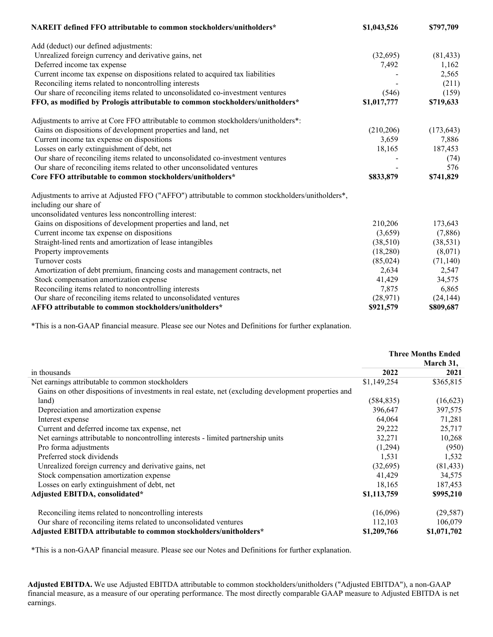| NAREIT defined FFO attributable to common stockholders/unitholders*                              | \$1,043,526 | \$797,709  |  |
|--------------------------------------------------------------------------------------------------|-------------|------------|--|
| Add (deduct) our defined adjustments:                                                            |             |            |  |
| Unrealized foreign currency and derivative gains, net                                            | (32,695)    | (81, 433)  |  |
| Deferred income tax expense                                                                      | 7,492       | 1,162      |  |
| Current income tax expense on dispositions related to acquired tax liabilities                   |             | 2,565      |  |
| Reconciling items related to noncontrolling interests                                            |             | (211)      |  |
| Our share of reconciling items related to unconsolidated co-investment ventures                  | (546)       | (159)      |  |
| FFO, as modified by Prologis attributable to common stockholders/unitholders*                    | \$1,017,777 | \$719,633  |  |
| Adjustments to arrive at Core FFO attributable to common stockholders/unitholders*:              |             |            |  |
| Gains on dispositions of development properties and land, net                                    | (210, 206)  | (173, 643) |  |
| Current income tax expense on dispositions                                                       | 3,659       | 7,886      |  |
| Losses on early extinguishment of debt, net                                                      | 18,165      | 187,453    |  |
| Our share of reconciling items related to unconsolidated co-investment ventures                  |             | (74)       |  |
| Our share of reconciling items related to other unconsolidated ventures                          |             | 576        |  |
| Core FFO attributable to common stockholders/unitholders*                                        | \$833,879   | \$741,829  |  |
| Adjustments to arrive at Adjusted FFO ("AFFO") attributable to common stockholders/unitholders*, |             |            |  |
| including our share of                                                                           |             |            |  |
| unconsolidated ventures less noncontrolling interest:                                            |             |            |  |
| Gains on dispositions of development properties and land, net                                    | 210,206     | 173,643    |  |
| Current income tax expense on dispositions                                                       | (3,659)     | (7,886)    |  |
| Straight-lined rents and amortization of lease intangibles                                       | (38,510)    | (38, 531)  |  |
| Property improvements                                                                            | (18,280)    | (8,071)    |  |
| Turnover costs                                                                                   | (85,024)    | (71, 140)  |  |
| Amortization of debt premium, financing costs and management contracts, net                      | 2,634       | 2,547      |  |
| Stock compensation amortization expense                                                          | 41,429      | 34,575     |  |
| Reconciling items related to noncontrolling interests                                            | 7,875       | 6,865      |  |
| Our share of reconciling items related to unconsolidated ventures                                | (28,971)    | (24, 144)  |  |
| AFFO attributable to common stockholders/unitholders*                                            | \$921,579   | \$809,687  |  |

\*This is a non-GAAP financial measure. Please see our Notes and Definitions for further explanation.

|                                                                                                      | <b>Three Months Ended</b> |             |
|------------------------------------------------------------------------------------------------------|---------------------------|-------------|
|                                                                                                      |                           | March 31,   |
| in thousands                                                                                         | 2022                      | 2021        |
| Net earnings attributable to common stockholders                                                     | \$1,149,254               | \$365,815   |
| Gains on other dispositions of investments in real estate, net (excluding development properties and |                           |             |
| land)                                                                                                | (584, 835)                | (16,623)    |
| Depreciation and amortization expense                                                                | 396,647                   | 397,575     |
| Interest expense                                                                                     | 64,064                    | 71,281      |
| Current and deferred income tax expense, net                                                         | 29,222                    | 25,717      |
| Net earnings attributable to noncontrolling interests - limited partnership units                    | 32,271                    | 10,268      |
| Pro forma adjustments                                                                                | (1,294)                   | (950)       |
| Preferred stock dividends                                                                            | 1,531                     | 1,532       |
| Unrealized foreign currency and derivative gains, net                                                | (32,695)                  | (81, 433)   |
| Stock compensation amortization expense                                                              | 41,429                    | 34,575      |
| Losses on early extinguishment of debt, net                                                          | 18,165                    | 187,453     |
| Adjusted EBITDA, consolidated*                                                                       | \$1,113,759               | \$995,210   |
| Reconciling items related to noncontrolling interests                                                | (16,096)                  | (29, 587)   |
| Our share of reconciling items related to unconsolidated ventures                                    | 112,103                   | 106,079     |
| Adjusted EBITDA attributable to common stockholders/unitholders*                                     | \$1,209,766               | \$1,071,702 |

\*This is a non-GAAP financial measure. Please see our Notes and Definitions for further explanation.

**Adjusted EBITDA.** We use Adjusted EBITDA attributable to common stockholders/unitholders ("Adjusted EBITDA"), a non-GAAP financial measure, as a measure of our operating performance. The most directly comparable GAAP measure to Adjusted EBITDA is net earnings.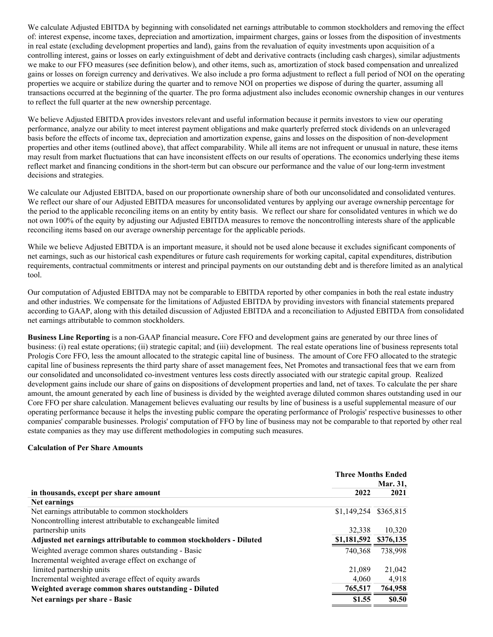We calculate Adjusted EBITDA by beginning with consolidated net earnings attributable to common stockholders and removing the effect of: interest expense, income taxes, depreciation and amortization, impairment charges, gains or losses from the disposition of investments in real estate (excluding development properties and land), gains from the revaluation of equity investments upon acquisition of a controlling interest, gains or losses on early extinguishment of debt and derivative contracts (including cash charges), similar adjustments we make to our FFO measures (see definition below), and other items, such as, amortization of stock based compensation and unrealized gains or losses on foreign currency and derivatives. We also include a pro forma adjustment to reflect a full period of NOI on the operating properties we acquire or stabilize during the quarter and to remove NOI on properties we dispose of during the quarter, assuming all transactions occurred at the beginning of the quarter. The pro forma adjustment also includes economic ownership changes in our ventures to reflect the full quarter at the new ownership percentage.

We believe Adjusted EBITDA provides investors relevant and useful information because it permits investors to view our operating performance, analyze our ability to meet interest payment obligations and make quarterly preferred stock dividends on an unleveraged basis before the effects of income tax, depreciation and amortization expense, gains and losses on the disposition of non-development properties and other items (outlined above), that affect comparability. While all items are not infrequent or unusual in nature, these items may result from market fluctuations that can have inconsistent effects on our results of operations. The economics underlying these items reflect market and financing conditions in the short-term but can obscure our performance and the value of our long-term investment decisions and strategies.

We calculate our Adjusted EBITDA, based on our proportionate ownership share of both our unconsolidated and consolidated ventures. We reflect our share of our Adjusted EBITDA measures for unconsolidated ventures by applying our average ownership percentage for the period to the applicable reconciling items on an entity by entity basis. We reflect our share for consolidated ventures in which we do not own 100% of the equity by adjusting our Adjusted EBITDA measures to remove the noncontrolling interests share of the applicable reconciling items based on our average ownership percentage for the applicable periods.

While we believe Adjusted EBITDA is an important measure, it should not be used alone because it excludes significant components of net earnings, such as our historical cash expenditures or future cash requirements for working capital, capital expenditures, distribution requirements, contractual commitments or interest and principal payments on our outstanding debt and is therefore limited as an analytical tool.

Our computation of Adjusted EBITDA may not be comparable to EBITDA reported by other companies in both the real estate industry and other industries. We compensate for the limitations of Adjusted EBITDA by providing investors with financial statements prepared according to GAAP, along with this detailed discussion of Adjusted EBITDA and a reconciliation to Adjusted EBITDA from consolidated net earnings attributable to common stockholders.

**Business Line Reporting** is a non-GAAP financial measure**.** Core FFO and development gains are generated by our three lines of business: (i) real estate operations; (ii) strategic capital; and (iii) development. The real estate operations line of business represents total Prologis Core FFO, less the amount allocated to the strategic capital line of business. The amount of Core FFO allocated to the strategic capital line of business represents the third party share of asset management fees, Net Promotes and transactional fees that we earn from our consolidated and unconsolidated co-investment ventures less costs directly associated with our strategic capital group. Realized development gains include our share of gains on dispositions of development properties and land, net of taxes. To calculate the per share amount, the amount generated by each line of business is divided by the weighted average diluted common shares outstanding used in our Core FFO per share calculation. Management believes evaluating our results by line of business is a useful supplemental measure of our operating performance because it helps the investing public compare the operating performance of Prologis' respective businesses to other companies' comparable businesses. Prologis' computation of FFO by line of business may not be comparable to that reported by other real estate companies as they may use different methodologies in computing such measures.

#### **Calculation of Per Share Amounts**

|                                                                     | <b>Three Months Ended</b> |           |
|---------------------------------------------------------------------|---------------------------|-----------|
|                                                                     |                           | Mar. 31,  |
| in thousands, except per share amount                               | 2022                      | 2021      |
| Net earnings                                                        |                           |           |
| Net earnings attributable to common stockholders                    | \$1,149,254               | \$365,815 |
| Noncontrolling interest attributable to exchangeable limited        |                           |           |
| partnership units                                                   | 32,338                    | 10,320    |
| Adjusted net earnings attributable to common stockholders - Diluted | \$1,181,592               | \$376,135 |
| Weighted average common shares outstanding - Basic                  | 740.368                   | 738,998   |
| Incremental weighted average effect on exchange of                  |                           |           |
| limited partnership units                                           | 21,089                    | 21,042    |
| Incremental weighted average effect of equity awards                | 4,060                     | 4,918     |
| Weighted average common shares outstanding - Diluted                | 765,517                   | 764,958   |
| Net earnings per share - Basic                                      | \$1.55                    | \$0.50    |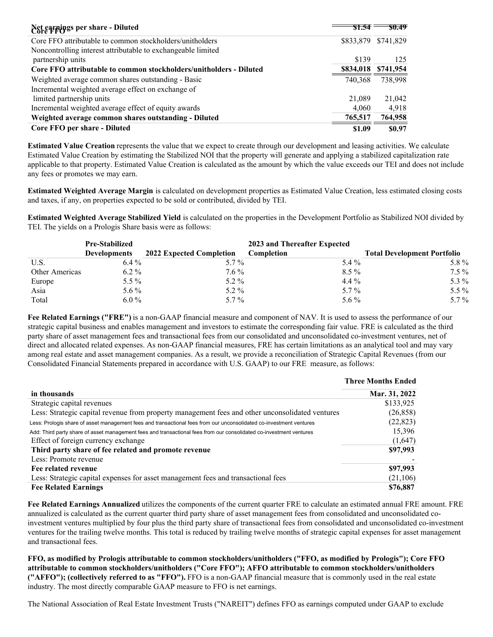| <b>Net earnings per share - Diluted</b>                            |           | \$0.49    |
|--------------------------------------------------------------------|-----------|-----------|
| Core FFO attributable to common stockholders/unitholders           | \$833,879 | \$741.829 |
| Noncontrolling interest attributable to exchangeable limited       |           |           |
| partnership units                                                  | \$139     | 125       |
| Core FFO attributable to common stockholders/unitholders - Diluted | \$834,018 | \$741,954 |
| Weighted average common shares outstanding - Basic                 | 740.368   | 738,998   |
| Incremental weighted average effect on exchange of                 |           |           |
| limited partnership units                                          | 21,089    | 21,042    |
| Incremental weighted average effect of equity awards               | 4,060     | 4,918     |
| Weighted average common shares outstanding - Diluted               | 765,517   | 764,958   |
| Core FFO per share - Diluted                                       | \$1.09    | \$0.97    |

**Estimated Value Creation** represents the value that we expect to create through our development and leasing activities. We calculate Estimated Value Creation by estimating the Stabilized NOI that the property will generate and applying a stabilized capitalization rate applicable to that property. Estimated Value Creation is calculated as the amount by which the value exceeds our TEI and does not include any fees or promotes we may earn.

**Estimated Weighted Average Margin** is calculated on development properties as Estimated Value Creation, less estimated closing costs and taxes, if any, on properties expected to be sold or contributed, divided by TEI.

**Estimated Weighted Average Stabilized Yield** is calculated on the properties in the Development Portfolio as Stabilized NOI divided by TEI. The yields on a Prologis Share basis were as follows:

|                | <b>Pre-Stabilized</b> |                                 | 2023 and Thereafter Expected |                                    |
|----------------|-----------------------|---------------------------------|------------------------------|------------------------------------|
|                | <b>Developments</b>   | <b>2022 Expected Completion</b> | <b>Completion</b>            | <b>Total Development Portfolio</b> |
| U.S.           | $6.4\%$               | $5.7\%$                         | $5.4\%$                      | 5.8 $\%$                           |
| Other Americas | $6.2\%$               | $7.6\%$                         | $8.5\%$                      | $7.5\%$                            |
| Europe         | 5.5 $\%$              | $5.2\%$                         | $4.4\%$                      | 5.3 $\%$                           |
| Asia           | 5.6 $\%$              | $5.2\%$                         | $5.7\%$                      | 5.5 $\%$                           |
| Total          | $6.0\%$               | $5.7\%$                         | 5.6 $\%$                     | $5.7\%$                            |

**Fee Related Earnings ("FRE")** is a non-GAAP financial measure and component of NAV. It is used to assess the performance of our strategic capital business and enables management and investors to estimate the corresponding fair value. FRE is calculated as the third party share of asset management fees and transactional fees from our consolidated and unconsolidated co-investment ventures, net of direct and allocated related expenses. As non-GAAP financial measures, FRE has certain limitations as an analytical tool and may vary among real estate and asset management companies. As a result, we provide a reconciliation of Strategic Capital Revenues (from our Consolidated Financial Statements prepared in accordance with U.S. GAAP) to our FRE measure, as follows:

|                                                                                                                     | <b>Three Months Ended</b> |
|---------------------------------------------------------------------------------------------------------------------|---------------------------|
| in thousands                                                                                                        | Mar. 31, 2022             |
| Strategic capital revenues                                                                                          | \$133,925                 |
| Less: Strategic capital revenue from property management fees and other unconsolidated ventures                     | (26, 858)                 |
| Less: Prologis share of asset management fees and transactional fees from our unconsolidated co-investment ventures | (22, 823)                 |
| Add: Third party share of asset management fees and transactional fees from our consolidated co-investment ventures | 15,396                    |
| Effect of foreign currency exchange                                                                                 | (1,647)                   |
| Third party share of fee related and promote revenue                                                                | \$97,993                  |
| Less: Promote revenue                                                                                               |                           |
| Fee related revenue                                                                                                 | \$97,993                  |
| Less: Strategic capital expenses for asset management fees and transactional fees                                   | (21, 106)                 |
| <b>Fee Related Earnings</b>                                                                                         | \$76,887                  |

**Fee Related Earnings Annualized** utilizes the components of the current quarter FRE to calculate an estimated annual FRE amount. FRE annualized is calculated as the current quarter third party share of asset management fees from consolidated and unconsolidated coinvestment ventures multiplied by four plus the third party share of transactional fees from consolidated and unconsolidated co-investment ventures for the trailing twelve months. This total is reduced by trailing twelve months of strategic capital expenses for asset management and transactional fees.

FFO, as modified by Prologis attributable to common stockholders/unitholders ("FFO, as modified by Prologis"); Core FFO **attributable to common stockholders/unitholders ("Core FFO"); AFFO attributable to common stockholders/unitholders ("AFFO"); (collectively referred to as "FFO").** FFO is a non-GAAP financial measure that is commonly used in the real estate industry. The most directly comparable GAAP measure to FFO is net earnings.

The National Association of Real Estate Investment Trusts ("NAREIT") defines FFO as earnings computed under GAAP to exclude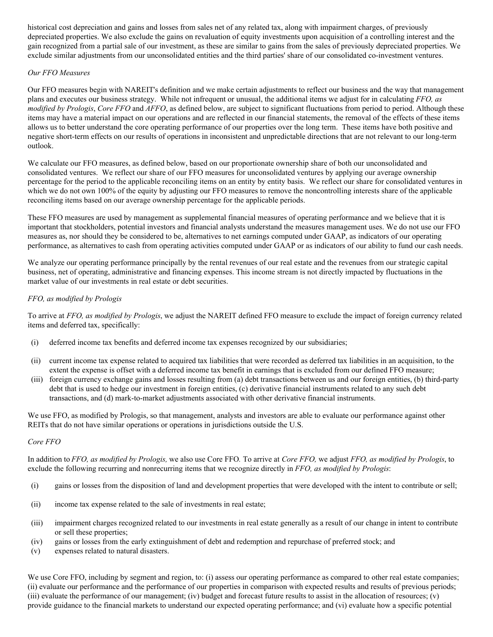historical cost depreciation and gains and losses from sales net of any related tax, along with impairment charges, of previously depreciated properties. We also exclude the gains on revaluation of equity investments upon acquisition of a controlling interest and the gain recognized from a partial sale of our investment, as these are similar to gains from the sales of previously depreciated properties. We exclude similar adjustments from our unconsolidated entities and the third parties' share of our consolidated co-investment ventures.

#### *Our FFO Measures*

Our FFO measures begin with NAREIT's definition and we make certain adjustments to reflect our business and the way that management plans and executes our business strategy. While not infrequent or unusual, the additional items we adjust for in calculating *FFO, as modified by Prologis*, *Core FFO* and *AFFO*, as defined below, are subject to significant fluctuations from period to period. Although these items may have a material impact on our operations and are reflected in our financial statements, the removal of the effects of these items allows us to better understand the core operating performance of our properties over the long term. These items have both positive and negative short-term effects on our results of operations in inconsistent and unpredictable directions that are not relevant to our long-term outlook.

We calculate our FFO measures, as defined below, based on our proportionate ownership share of both our unconsolidated and consolidated ventures. We reflect our share of our FFO measures for unconsolidated ventures by applying our average ownership percentage for the period to the applicable reconciling items on an entity by entity basis. We reflect our share for consolidated ventures in which we do not own 100% of the equity by adjusting our FFO measures to remove the noncontrolling interests share of the applicable reconciling items based on our average ownership percentage for the applicable periods.

These FFO measures are used by management as supplemental financial measures of operating performance and we believe that it is important that stockholders, potential investors and financial analysts understand the measures management uses. We do not use our FFO measures as, nor should they be considered to be, alternatives to net earnings computed under GAAP, as indicators of our operating performance, as alternatives to cash from operating activities computed under GAAP or as indicators of our ability to fund our cash needs.

We analyze our operating performance principally by the rental revenues of our real estate and the revenues from our strategic capital business, net of operating, administrative and financing expenses. This income stream is not directly impacted by fluctuations in the market value of our investments in real estate or debt securities.

## *FFO, as modified by Prologis*

To arrive at *FFO, as modified by Prologis*, we adjust the NAREIT defined FFO measure to exclude the impact of foreign currency related items and deferred tax, specifically:

- (i) deferred income tax benefits and deferred income tax expenses recognized by our subsidiaries;
- (ii) current income tax expense related to acquired tax liabilities that were recorded as deferred tax liabilities in an acquisition, to the extent the expense is offset with a deferred income tax benefit in earnings that is excluded from our defined FFO measure;
- (iii) foreign currency exchange gains and losses resulting from (a) debt transactions between us and our foreign entities, (b) third-party debt that is used to hedge our investment in foreign entities, (c) derivative financial instruments related to any such debt transactions, and (d) mark-to-market adjustments associated with other derivative financial instruments.

We use FFO, as modified by Prologis, so that management, analysts and investors are able to evaluate our performance against other REITs that do not have similar operations or operations in jurisdictions outside the U.S.

## *Core FFO*

In addition to *FFO, as modified by Prologis,* we also use Core FFO*.* To arrive at *Core FFO,* we adjust *FFO, as modified by Prologis*, to exclude the following recurring and nonrecurring items that we recognize directly in *FFO, as modified by Prologis*:

- (i) gains or losses from the disposition of land and development properties that were developed with the intent to contribute or sell;
- (ii) income tax expense related to the sale of investments in real estate;
- (iii) impairment charges recognized related to our investments in real estate generally as a result of our change in intent to contribute or sell these properties;
- (iv) gains or losses from the early extinguishment of debt and redemption and repurchase of preferred stock; and
- (v) expenses related to natural disasters.

We use Core FFO, including by segment and region, to: (i) assess our operating performance as compared to other real estate companies; (ii) evaluate our performance and the performance of our properties in comparison with expected results and results of previous periods; (iii) evaluate the performance of our management; (iv) budget and forecast future results to assist in the allocation of resources; (v) provide guidance to the financial markets to understand our expected operating performance; and (vi) evaluate how a specific potential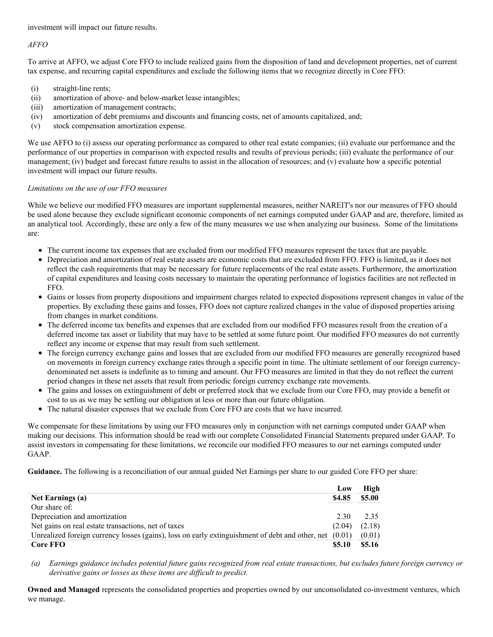investment will impact our future results.

#### *AFFO*

To arrive at AFFO, we adjust Core FFO to include realized gains from the disposition of land and development properties, net of current tax expense, and recurring capital expenditures and exclude the following items that we recognize directly in Core FFO:

- (i) straight-line rents;
- (ii) amortization of above- and below-market lease intangibles;
- (iii) amortization of management contracts;
- (iv) amortization of debt premiums and discounts and financing costs, net of amounts capitalized, and;
- (v) stock compensation amortization expense.

We use AFFO to (i) assess our operating performance as compared to other real estate companies; (ii) evaluate our performance and the performance of our properties in comparison with expected results and results of previous periods; (iii) evaluate the performance of our management; (iv) budget and forecast future results to assist in the allocation of resources; and (v) evaluate how a specific potential investment will impact our future results.

#### *Limitations on the use of our FFO measures*

While we believe our modified FFO measures are important supplemental measures, neither NAREIT's nor our measures of FFO should be used alone because they exclude significant economic components of net earnings computed under GAAP and are, therefore, limited as an analytical tool. Accordingly, these are only a few of the many measures we use when analyzing our business. Some of the limitations are:

- The current income tax expenses that are excluded from our modified FFO measures represent the taxes that are payable.
- Depreciation and amortization of real estate assets are economic costs that are excluded from FFO. FFO is limited, as it does not reflect the cash requirements that may be necessary for future replacements of the real estate assets. Furthermore, the amortization of capital expenditures and leasing costs necessary to maintain the operating performance of logistics facilities are not reflected in FFO.
- Gains or losses from property dispositions and impairment charges related to expected dispositions represent changes in value of the properties. By excluding these gains and losses, FFO does not capture realized changes in the value of disposed properties arising from changes in market conditions.
- The deferred income tax benefits and expenses that are excluded from our modified FFO measures result from the creation of a deferred income tax asset or liability that may have to be settled at some future point. Our modified FFO measures do not currently reflect any income or expense that may result from such settlement.
- The foreign currency exchange gains and losses that are excluded from our modified FFO measures are generally recognized based on movements in foreign currency exchange rates through a specific point in time. The ultimate settlement of our foreign currencydenominated net assets is indefinite as to timing and amount. Our FFO measures are limited in that they do not reflect the current period changes in these net assets that result from periodic foreign currency exchange rate movements.
- The gains and losses on extinguishment of debt or preferred stock that we exclude from our Core FFO, may provide a benefit or cost to us as we may be settling our obligation at less or more than our future obligation.
- The natural disaster expenses that we exclude from Core FFO are costs that we have incurred.

We compensate for these limitations by using our FFO measures only in conjunction with net earnings computed under GAAP when making our decisions. This information should be read with our complete Consolidated Financial Statements prepared under GAAP. To assist investors in compensating for these limitations, we reconcile our modified FFO measures to our net earnings computed under GAAP.

**Guidance.** The following is a reconciliation of our annual guided Net Earnings per share to our guided Core FFO per share:

|                                                                                                          | Low    | High   |
|----------------------------------------------------------------------------------------------------------|--------|--------|
| <b>Net Earnings (a)</b>                                                                                  | \$4.85 | \$5.00 |
| Our share of:                                                                                            |        |        |
| Depreciation and amortization                                                                            | 2.30   | 2.35   |
| Net gains on real estate transactions, net of taxes                                                      | (2.04) | (2.18) |
| Unrealized foreign currency losses (gains), loss on early extinguishment of debt and other, net $(0.01)$ |        | (0.01) |
| <b>Core FFO</b>                                                                                          | \$5.10 | \$5.16 |

(a) Earnings guidance includes potential future gains recognized from real estate transactions, but excludes future foreign currency or *derivative gains or losses as these items are dif icult to predict.*

**Owned and Managed** represents the consolidated properties and properties owned by our unconsolidated co-investment ventures, which we manage.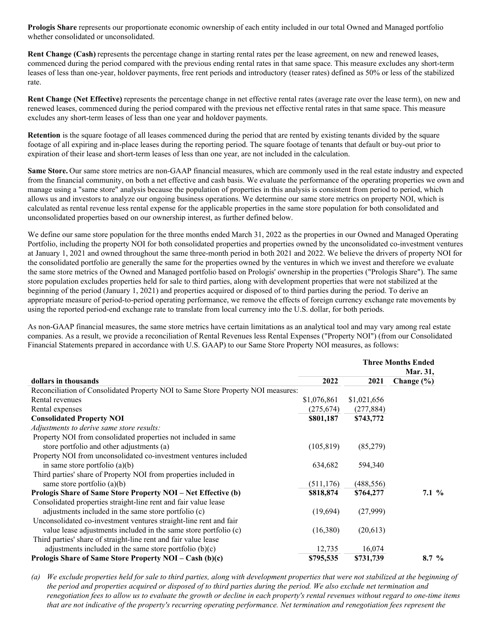**Prologis Share** represents our proportionate economic ownership of each entity included in our total Owned and Managed portfolio whether consolidated or unconsolidated.

**Rent Change (Cash)** represents the percentage change in starting rental rates per the lease agreement, on new and renewed leases, commenced during the period compared with the previous ending rental rates in that same space. This measure excludes any short-term leases of less than one-year, holdover payments, free rent periods and introductory (teaser rates) defined as 50% or less of the stabilized rate.

**Rent Change (Net Effective)** represents the percentage change in net effective rental rates (average rate over the lease term), on new and renewed leases, commenced during the period compared with the previous net effective rental rates in that same space. This measure excludes any short-term leases of less than one year and holdover payments.

**Retention** is the square footage of all leases commenced during the period that are rented by existing tenants divided by the square footage of all expiring and in-place leases during the reporting period. The square footage of tenants that default or buy-out prior to expiration of their lease and short-term leases of less than one year, are not included in the calculation.

**Same Store.** Our same store metrics are non-GAAP financial measures, which are commonly used in the real estate industry and expected from the financial community, on both a net effective and cash basis. We evaluate the performance of the operating properties we own and manage using a "same store" analysis because the population of properties in this analysis is consistent from period to period, which allows us and investors to analyze our ongoing business operations. We determine our same store metrics on property NOI, which is calculated as rental revenue less rental expense for the applicable properties in the same store population for both consolidated and unconsolidated properties based on our ownership interest, as further defined below.

We define our same store population for the three months ended March 31, 2022 as the properties in our Owned and Managed Operating Portfolio, including the property NOI for both consolidated properties and properties owned by the unconsolidated co-investment ventures at January 1, 2021 and owned throughout the same three-month period in both 2021 and 2022. We believe the drivers of property NOI for the consolidated portfolio are generally the same for the properties owned by the ventures in which we invest and therefore we evaluate the same store metrics of the Owned and Managed portfolio based on Prologis' ownership in the properties ("Prologis Share"). The same store population excludes properties held for sale to third parties, along with development properties that were not stabilized at the beginning of the period (January 1, 2021) and properties acquired or disposed of to third parties during the period. To derive an appropriate measure of period-to-period operating performance, we remove the effects of foreign currency exchange rate movements by using the reported period-end exchange rate to translate from local currency into the U.S. dollar, for both periods.

As non-GAAP financial measures, the same store metrics have certain limitations as an analytical tool and may vary among real estate companies. As a result, we provide a reconciliation of Rental Revenues less Rental Expenses ("Property NOI") (from our Consolidated Financial Statements prepared in accordance with U.S. GAAP) to our Same Store Property NOI measures, as follows:

|                                                                                  |             |             | <b>Three Months Ended</b> |
|----------------------------------------------------------------------------------|-------------|-------------|---------------------------|
|                                                                                  |             |             | Mar. 31,                  |
| dollars in thousands                                                             | 2022        | 2021        | Change $(\% )$            |
| Reconciliation of Consolidated Property NOI to Same Store Property NOI measures: |             |             |                           |
| Rental revenues                                                                  | \$1,076,861 | \$1,021,656 |                           |
| Rental expenses                                                                  | (275, 674)  | (277, 884)  |                           |
| <b>Consolidated Property NOI</b>                                                 | \$801,187   | \$743,772   |                           |
| Adjustments to derive same store results:                                        |             |             |                           |
| Property NOI from consolidated properties not included in same                   |             |             |                           |
| store portfolio and other adjustments (a)                                        | (105, 819)  | (85,279)    |                           |
| Property NOI from unconsolidated co-investment ventures included                 |             |             |                           |
| in same store portfolio $(a)(b)$                                                 | 634,682     | 594,340     |                           |
| Third parties' share of Property NOI from properties included in                 |             |             |                           |
| same store portfolio $(a)(b)$                                                    | (511, 176)  | (488, 556)  |                           |
| Prologis Share of Same Store Property NOI - Net Effective (b)                    | \$818,874   | \$764,277   | $7.1\%$                   |
| Consolidated properties straight-line rent and fair value lease                  |             |             |                           |
| adjustments included in the same store portfolio (c)                             | (19,694)    | (27,999)    |                           |
| Unconsolidated co-investment ventures straight-line rent and fair                |             |             |                           |
| value lease adjustments included in the same store portfolio (c)                 | (16,380)    | (20,613)    |                           |
| Third parties' share of straight-line rent and fair value lease                  |             |             |                           |
| adjustments included in the same store portfolio $(b)(c)$                        | 12,735      | 16,074      |                           |
| Prologis Share of Same Store Property $NOI - Cash (b)(c)$                        | \$795,535   | \$731,739   | 8.7 $\%$                  |

(a) We exclude properties held for sale to third parties, along with development properties that were not stabilized at the beginning of the period and properties acquired or disposed of to third parties during the period. We also exclude net termination and renegotiation fees to allow us to evaluate the growth or decline in each property's rental revenues without regard to one-time items that are not indicative of the property's recurring operating performance. Net termination and renegotiation fees represent the